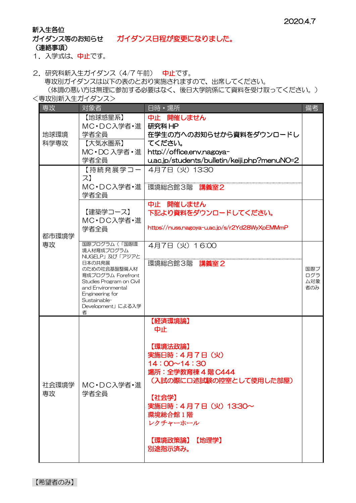## 新入生各位

ガイダンス等のお知らせ ガイダンス日程が変更になりました。 (連絡事項)

1. 入学式は、中止です。

- 2. 研究科新入生ガイダンス (4/7 午前) 中止です。 専攻別ガイダンスは以下の表のとおり実施されますので、出席してください。 (体調の悪い方は無理に参加する必要はなく、後日大学院係にて資料を受け取ってください。)
- <専攻別新入生ガイダンス>

| 専攻           | 対象者                                                                                                                                                                                                       | 日時·場所                                                                                                                                                                                                       | 備考                       |
|--------------|-----------------------------------------------------------------------------------------------------------------------------------------------------------------------------------------------------------|-------------------------------------------------------------------------------------------------------------------------------------------------------------------------------------------------------------|--------------------------|
| 地球環境<br>科学専攻 | 【地球惑星系】<br>MC·DC入学者·進<br>学者全員<br>【大気水圏系】<br>MC · DC 入学者 · 進丨                                                                                                                                              | 中止 開催しません<br>研究科 HP<br>在学生の方へのお知らせから資料をダウンロードし<br>てください。<br>http://office.env.nagoya-                                                                                                                       |                          |
|              | 学者全員                                                                                                                                                                                                      | u.ac.jp/students/bulletin/keiji.php?menuNO=2                                                                                                                                                                |                          |
| 都市環境学<br>専攻  | 【持続発展学コー <br>ス】<br>MC·DC入学者·進<br>学者全員                                                                                                                                                                     | 4月7日 (火) 13:30<br>環境総合館3階 講義室2                                                                                                                                                                              |                          |
|              | 【建築学コース】<br>MC·DC入学者·進<br>学者全員                                                                                                                                                                            | 中止 開催しません<br>下記より資料をダウンロードしてください。<br>https://nuss.nagoya-u.ac.jp/s/r2Yd28WyXpEMMmP                                                                                                                          |                          |
|              | 国際プログラム(「国際環<br>境人材育成プログラム<br>NUGELP」及び「アジアと<br>日本の共発展<br>のための社会基盤整備人材<br>育成プログラム Forefront<br>Studies Program on Civil<br>and Environmental<br>Engineering for<br>Sustainable-<br>Development」による入学<br>者 | 4月7日 (火) 16:00<br>環境総合館3階 講義室2                                                                                                                                                                              | 国際プ<br>ログラ<br>厶対象<br>者のみ |
| 社会環境学<br>専攻  | MC·DC入学者·進<br>学者全員                                                                                                                                                                                        | 【経済環境論】<br>中止<br>【環境法政論】<br>実施日時: 4月7日 (火)<br>$14:00 \sim 14:30$<br>場所: 全学教育棟 4 階 C444<br>(入試の際に口述試験の控室として使用した部屋)<br>【社会学】<br>実施日時: 4月7日 (火) 13:30~<br>環境総合館 1 階<br>レクチャーホール<br>【環境政策論】<br>【地理学】<br>別途指示済み。 |                          |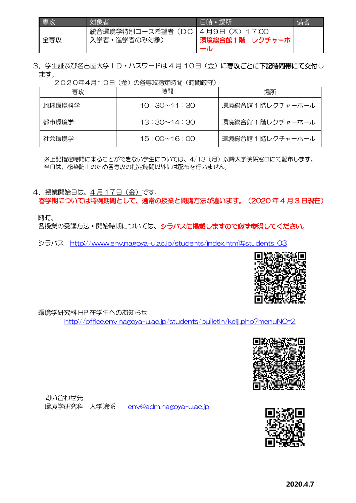| <b>専攻</b> | 対象者                                           | 日時・場所          | 備者 |
|-----------|-----------------------------------------------|----------------|----|
| 全専攻       | 統合環境学特別コース希望者(DC 4月9日(木)17:00<br>入学者·進学者のみ対象) | 環境総合館1階 レクチャーホ |    |

3. 学生証及び名古屋大学ID·パスワードは 4月10日(金)に専攻ごとに下記時間帯にて交付し ます。

2020年4月10日(金)の各専攻指定時間(時間厳守)

| 専攻     | 時間                 | 場所                |
|--------|--------------------|-------------------|
| 地球環境科学 | $10:30 \sim 11:30$ | 環境総合館 1 階レクチャーホール |
| 都市環境学  | $13:30 \sim 14:30$ | 環境総合館 1 階レクチャーホール |
| 社会環境学  | $15:00 \sim 16:00$ | 環境総合館 1 階レクチャーホール |

※上記指定時間に来ることができない学生については、4/13(月)以降大学院係窓口にて配布します。 当日は、感染防止のため各専攻の指定時間以外には配布を行いません。

4. 授業開始日は、4月17日(金)です。

春学期については特例期間として、通常の授業と開講方法が違います。(2020 年 4 月 3 日現在)

随時、

各授業の受講方法·開始時期については、シラバスに掲載しますので必ず参照してください。

シラバス [http://www.env.nagoya-u.ac.jp/students/index.html#students\\_03](http://www.env.nagoya-u.ac.jp/students/index.html#students_03)



環境学研究科 HP 在学生へのお知らせ

<http://office.env.nagoya-u.ac.jp/students/bulletin/keiji.php?menuNO=2>



問い合わせ先 環境学研究科 大学院係 [env@adm.nagoya-u.ac.jp](mailto:env@adm.nagoya-u.ac.jp) 

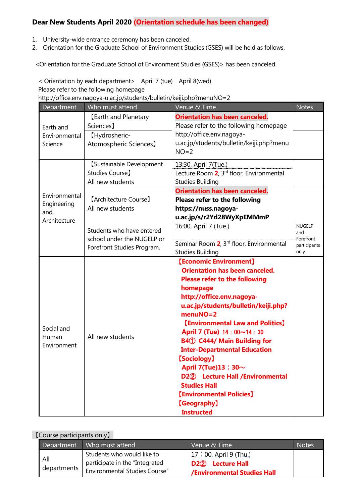## **Dear New Students April 2020 (Orientation schedule has been changed)**

- 1. University-wide entrance ceremony has been canceled.
- 2. Orientation for the Graduate School of Environment Studies (GSES) will be held as follows.

<Orientation for the Graduate School of Environment Studies (GSES)> has been canceled.

< Orientation by each department> April 7 (tue) April 8(wed)

Please refer to the following homepage

http://office.env.nagoya-u.ac.jp/students/bulletin/keiji.php?menuNO=2

| Department                                          | Who must attend                                                                                                                                                                 | Venue & Time                                                                                                                                                                                                                                                                                                                                                                                                                                                                                                                       | <b>Notes</b>                                              |
|-----------------------------------------------------|---------------------------------------------------------------------------------------------------------------------------------------------------------------------------------|------------------------------------------------------------------------------------------------------------------------------------------------------------------------------------------------------------------------------------------------------------------------------------------------------------------------------------------------------------------------------------------------------------------------------------------------------------------------------------------------------------------------------------|-----------------------------------------------------------|
| Earth and                                           | <b>[Earth and Planetary</b><br>Sciences <sub>1</sub>                                                                                                                            | <b>Orientation has been canceled.</b><br>Please refer to the following homepage                                                                                                                                                                                                                                                                                                                                                                                                                                                    |                                                           |
| Environmental<br>Science                            | [Hydrosheric-<br>Atomospheric Sciences]                                                                                                                                         | http://office.env.nagoya-<br>u.ac.jp/students/bulletin/keiji.php?menu<br>$NO=2$                                                                                                                                                                                                                                                                                                                                                                                                                                                    |                                                           |
|                                                     | [Sustainable Development<br>Studies Course]<br>All new students                                                                                                                 | 13:30, April 7(Tue.)<br>Lecture Room 2, 3rd floor, Environmental<br><b>Studies Building</b>                                                                                                                                                                                                                                                                                                                                                                                                                                        |                                                           |
| Environmental<br>Engineering<br>and<br>Architecture | <b>Orientation has been canceled.</b><br>[Architecture Course]<br><b>Please refer to the following</b><br>All new students<br>https://nuss.nagoya-<br>u.ac.jp/s/r2Yd28WyXpEMMmP |                                                                                                                                                                                                                                                                                                                                                                                                                                                                                                                                    |                                                           |
|                                                     | Students who have entered<br>school under the NUGELP or<br>Forefront Studies Program.                                                                                           | 16:00, April 7 (Tue.)<br>Seminar Room 2, 3rd floor, Environmental<br><b>Studies Building</b>                                                                                                                                                                                                                                                                                                                                                                                                                                       | <b>NUGELP</b><br>and<br>Forefront<br>participants<br>only |
| Social and<br>Human<br>Environment                  | All new students                                                                                                                                                                | [Economic Environment]<br><b>Orientation has been canceled.</b><br><b>Please refer to the following</b><br>homepage<br>http://office.env.nagoya-<br>u.ac.jp/students/bulletin/keiji.php?<br>$menuNO=2$<br><b>[Environmental Law and Politics]</b><br>April 7 (Tue) 14: 00~14: 30<br><b>B41 C444/ Main Building for</b><br><b>Inter-Departmental Education</b><br>[Sociology]<br>April 7(Tue)13: $30\sim$<br>D22 Lecture Hall /Environmental<br><b>Studies Hall</b><br>[Environmental Policies]<br>[Geography]<br><b>Instructed</b> |                                                           |

## 【Course participants only】

| Department         | Who must attend                                                                                       | Venue & Time                                                                                     | <b>Notes</b> |
|--------------------|-------------------------------------------------------------------------------------------------------|--------------------------------------------------------------------------------------------------|--------------|
| All<br>departments | Students who would like to<br>participate in the "Integrated<br><b>Environmental Studies Course</b> " | 17:00, April 9 (Thu.)<br>D <sub>2</sub> <sup>2</sup> Lecture Hall<br>/Environmental Studies Hall |              |